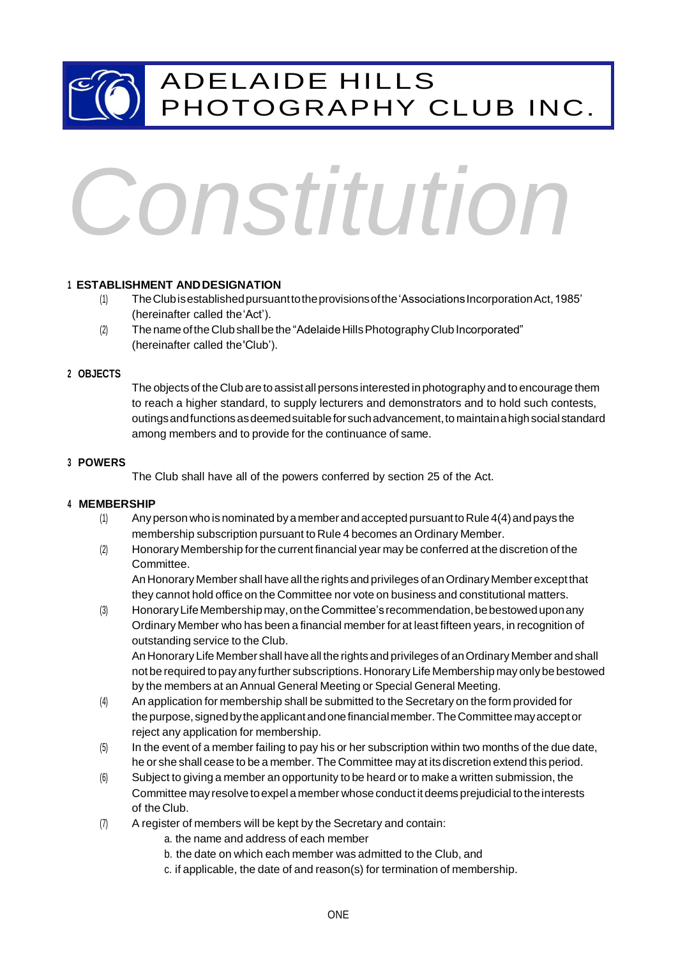

# ADELAIDE HILLS PHOTOGRAPHY CLUB INC.

# *Constitution*

# **<sup>1</sup> ESTABLISHMENT ANDDESIGNATION**

- (1) TheClubisestablishedpursuanttotheprovisionsofthe'AssociationsIncorporationAct,1985' (hereinafter called the'Act').
- (2) The name of the Club shall be the "Adelaide Hills Photography Club Incorporated" (hereinafter called the'Club').

#### **2 OBJECTS**

The objects of the Club are to assist all persons interested in photography and to encourage them to reach a higher standard, to supply lecturers and demonstrators and to hold such contests, outingsandfunctionsasdeemedsuitablefor suchadvancement,to maintainahighsocialstandard among members and to provide for the continuance of same.

#### **<sup>3</sup> POWERS**

The Club shall have all of the powers conferred by section 25 of the Act.

# **<sup>4</sup> MEMBERSHIP**

- (1) Anyperson whoisnominatedbyamemberandacceptedpursuantto Rule4(4)andpays the membership subscription pursuant to Rule 4 becomes an Ordinary Member.
- (2) Honorary Membership for the current financial year may be conferred at the discretion of the Committee.

An Honorary Member shall have all the rights and privileges of an Ordinary Member except that they cannot hold office on the Committee nor vote on business and constitutional matters.

(3) Honorary Life Membership may, on the Committee's recommendation, be bestowed upon any Ordinary Member who has been a financial member for at least fifteen years, in recognition of outstanding service to the Club.

An Honorary Life Member shall have all the rights and privileges of an Ordinary Member and shall not be required to pay any further subscriptions. Honorary Life Membership may only be bestowed by the members at an Annual General Meeting or Special General Meeting.

- (4) An application for membership shall be submitted to the Secretary on the form provided for thepurpose, signedbytheapplicantandonefinancialmember.TheCommittee mayacceptor reject anyapplication for membership.
- $(5)$  In the event of a member failing to pay his or her subscription within two months of the due date, he or she shall cease to be a member. The Committee may at its discretion extend this period.
- $(6)$  Subject to giving a member an opportunity to be heard or to make a written submission, the Committee may resolve to expel a member whose conduct it deems prejudicial to the interests of the Club.
- $(7)$  A register of members will be kept by the Secretary and contain:
	- a. the name and address of each member
	- b. the date on which each member was admitted to the Club, and
	- c. if applicable, the date of and reason(s) for termination of membership.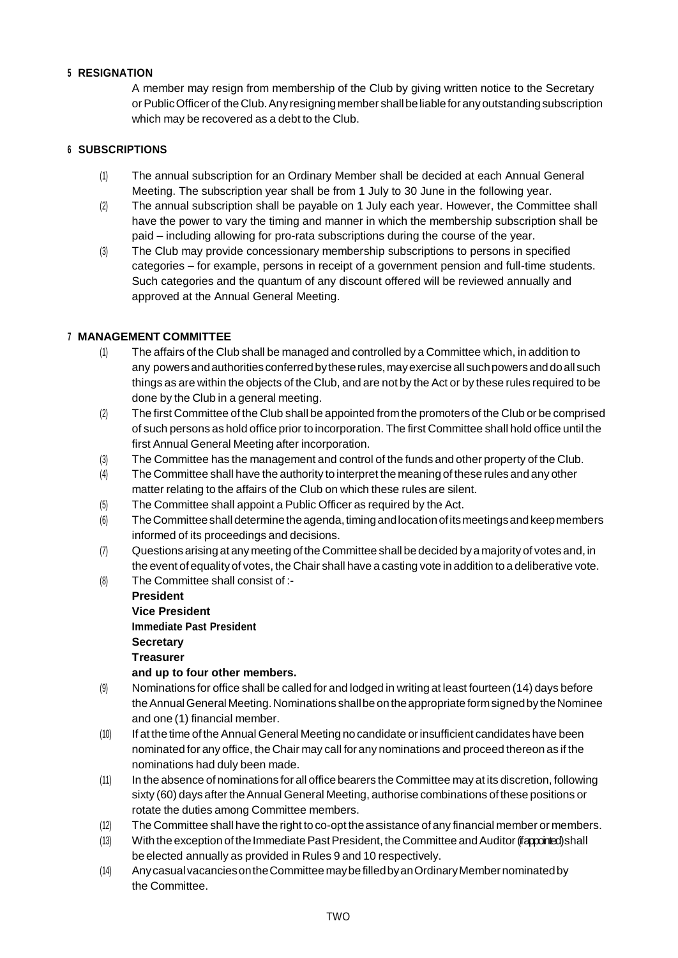# **<sup>5</sup> RESIGNATION**

A member may resign from membership of the Club by giving written notice to the Secretary or Public Officer of the Club. Any resigning member shall be liable for any outstanding subscription which may be recovered as a debt to the Club.

# **<sup>6</sup> SUBSCRIPTIONS**

- (1) The annual subscription for an Ordinary Member shall be decided at each Annual General Meeting. The subscription year shall be from 1 July to 30 June in the following year.
- (2) The annual subscription shall be payable on 1 July each year. However, the Committee shall have the power to vary the timing and manner in which the membership subscription shall be paid – including allowing for pro-rata subscriptions during the course of the year.
- (3) The Club may provide concessionary membership subscriptions to persons in specified categories – for example, persons in receipt of a government pension and full-time students. Such categories and the quantum of any discount offered will be reviewed annually and approved at the Annual General Meeting.

# **<sup>7</sup> MANAGEMENT COMMITTEE**

- (1) The affairs of the Club shall be managed and controlled by a Committee which, in addition to any powers and authorities conferred by these rules, may exercise all such powers and do all such things as are within the objects of the Club, and are not by the Act or by these rules required to be done by the Club in a general meeting.
- (2) The first Committee of the Club shall be appointed from the promoters of the Club or be comprised of such persons as hold office prior to incorporation. The first Committee shall hold office until the first Annual General Meetingafter incorporation.
- (3) The Committee has the management and control of the funds and other property of the Club.
- $(4)$  The Committee shall have the authority to interpret the meaning of these rules and any other matter relating to the affairs of the Club on which these rules are silent.
- (5) The Committee shall appointa Public Officeras required by the Act.
- (6) TheCommitteeshalldeterminetheagenda,timingandlocationofitsmeetingsandkeepmembers informed of its proceedings and decisions.
- (7) Questionsarisingatany meetingofthe Committeeshallbedecidedbya majorityof votesand,in the event of equality of votes, the Chair shall have a casting vote in addition to a deliberative vote.
- (8) The Committee shall consist of:- **President Vice President Immediate Past President Secretary Treasurer and up to four other members.**
- (9) Nominations for office shall be called for and lodged in writing at least fourteen (14) days before the Annual General Meeting. Nominations shall be on the appropriate form signed by the Nominee and one(1) financial member.
- (10) Ifatthetimeofthe Annual General Meetingnocandidateorinsufficient candidateshavebeen nominated for any office, the Chair may call for any nominations and proceed thereon as if the nominations had duly been made.
- (11) In the absence of nominations for all office bearers the Committee may at its discretion, following sixty (60) days after the Annual General Meeting, authorise combinations of these positions or rotate the duties among Committee members.
- (12) The Committee shall have the right to co-opt the assistance of any financial member or members.
- (13) With the exception of the Immediate Past President, the Committee and Auditor (if appointed) shall be elected annually as provided in Rules 9 and 10 respectively.
- (14) AnycasualvacanciesontheCommittee maybefilledbyanOrdinaryMembernominatedby the Committee.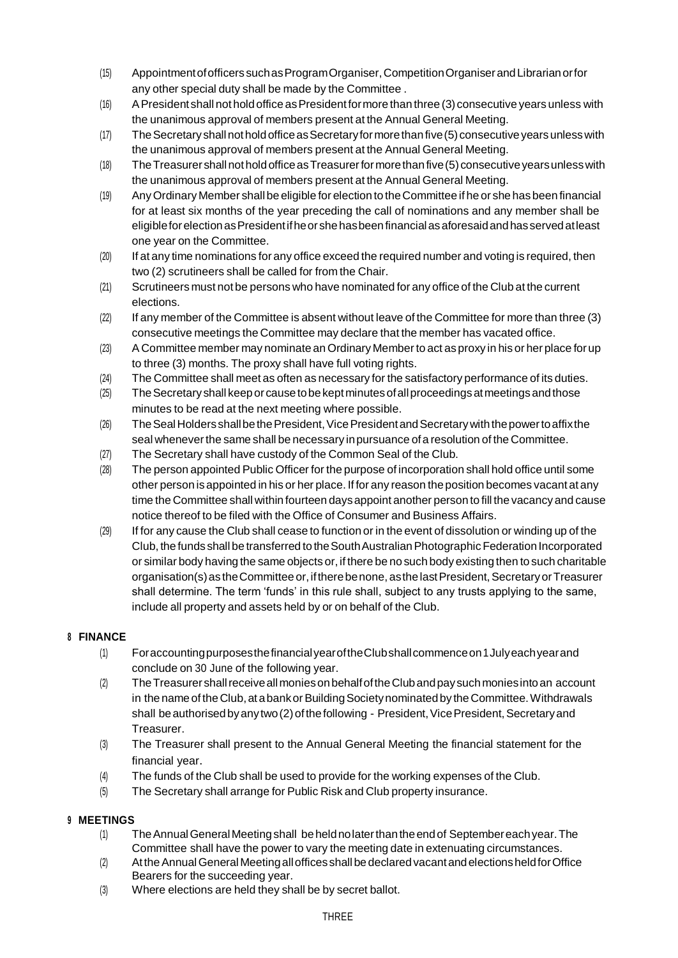- (15) Appointmentofofficers suchasProgramOrganiser,CompetitionOrganiserandLibrarianorfor any other special duty shall be made by the Committee.
- (16) APresident shall not hold office as President for more than three (3) consecutive years unless with the unanimous approval of members present at the Annual General Meeting.
- (17) TheSecretary shallnotholdofficeasSecretaryformorethanfive(5) consecutiveyearsunlesswith the unanimous approval of members present at the Annual General Meeting.
- (18) TheTreasurer shallnotholdofficeasTreasurerformorethanfive(5) consecutiveyearsunlesswith the unanimous approval of members present at the Annual General Meeting.
- (19) AnyOrdinary Member shallbeeligibleforelectiontothe Committeeifheor shehasbeenfinancial for at least six months of the year preceding the call of nominations and any member shall be eligibleforelectionasPresidentifheor shehasbeenfinancialasaforesaidandhasservedatleast one year on the Committee.
- $(20)$  If at any time nominations for any office exceed the required number and voting is required, then two (2) scrutineers shall be called for from the Chair.
- (21) Scrutineers must not be persons who have nominated for any office of the Club at the current elections.
- $(22)$  If any member of the Committee is absent without leave of the Committee for more than three  $(3)$ consecutive meetings the Committee may declare that the member has vacated office.
- (23) A Committee member may nominate an Ordinary Member to act as proxy in his or her place for up to three (3) months. The proxy shall have full voting rights.
- (24) The Committee shall meet as often as necessary for the satisfactory performance of its duties.
- (25) The Secretary shall keep or cause to be kept minutes of all proceedings at meetings and those minutes to be read at the next meeting where possible.
- (26) The Seal Holders shall be the President, Vice President and Secretary with the power to affix the seal whenever the same shall be necessary in pursuance of a resolution of the Committee.
- (27) The Secretary shall have custody of the Common Seal of the Club.
- (28) The person appointed Public Officer for the purpose of incorporation shall hold office until some other person is appointed in his or her place. If for any reason the position becomes vacant at any time the Committee shall within fourteen days appoint another person to fill the vacancy and cause notice thereof to be filed with the Office of Consumer and Business Affairs.
- (29) If for any cause the Club shall cease to function or in the event of dissolution or winding up of the Club, the funds shall be transferred to the South Australian Photographic Federation Incorporated or similar body having the same objects or, if there be no such body existing then to such charitable organisation(s) as the Committee or, if there be none, as the last President, Secretary or Treasurer shall determine. The term 'funds' in this rule shall, subject to any trusts applying to the same, include all property and assets held by or on behalf of the Club.

# **<sup>8</sup> FINANCE**

- (1) ForaccountingpurposesthefinancialyearoftheClubshallcommenceon1Julyeachyearand conclude on 30 June of the following year.
- (2) TheTreasurer shallreceiveallmoniesonbehalfoftheClubandpaysuchmoniesintoan account in the name of the Club, at a bank or Building Society nominated by the Committee. Withdrawals shall be authorised by any two (2) of the following - President, Vice President, Secretary and Treasurer.
- (3) The Treasurer shall present to the Annual General Meeting the financial statement for the financial year.
- (4) The funds of the Club shall be used to provide for the working expenses of the Club.
- (5) The Secretary shall arrange for Public Risk and Club property insurance.

# **<sup>9</sup> MEETINGS**

- (1) TheAnnualGeneralMeetingshall beheldnolaterthantheendof Septembereachyear.The Committee shall have the power to vary the meeting date in extenuating circumstances.
- (2) AttheAnnualGeneral MeetingallofficesshallbedeclaredvacantandelectionsheldforOffice Bearers for the succeeding year.
- (3) Where elections are held they shall be by secret ballot.